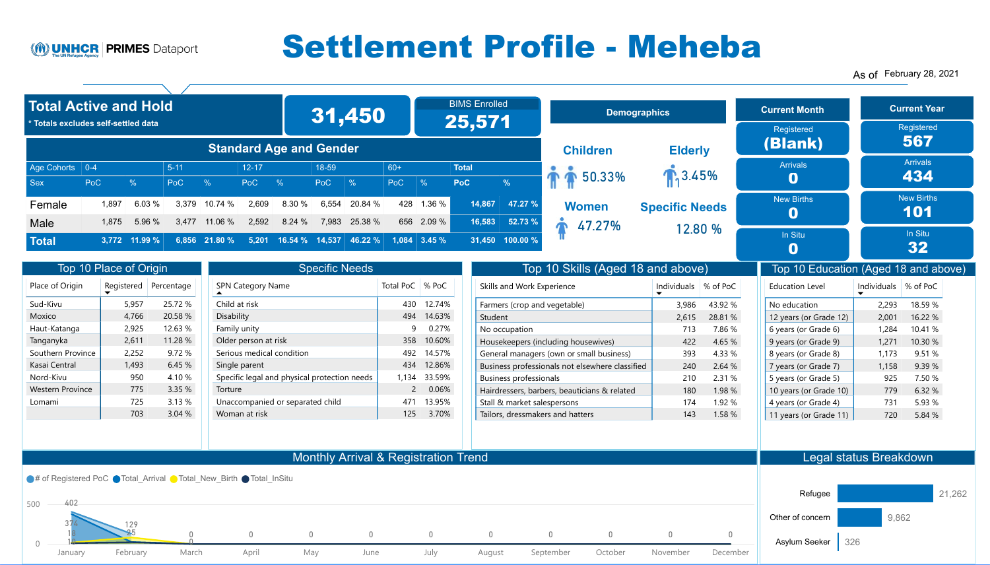## Monthly Arrival & Registration Trend



| <b>Specific Needs</b>                        |                   |        |  |  |  |  |  |  |  |
|----------------------------------------------|-------------------|--------|--|--|--|--|--|--|--|
| <b>SPN Category Name</b>                     | Total PoC   % PoC |        |  |  |  |  |  |  |  |
| Child at risk                                | 430               | 12.74% |  |  |  |  |  |  |  |
| Disability                                   | 494               | 14.63% |  |  |  |  |  |  |  |
| Family unity                                 | 9                 | 0.27%  |  |  |  |  |  |  |  |
| Older person at risk                         | 358               | 10.60% |  |  |  |  |  |  |  |
| Serious medical condition                    | 492               | 14.57% |  |  |  |  |  |  |  |
| Single parent                                | 434               | 12.86% |  |  |  |  |  |  |  |
| Specific legal and physical protection needs | 1,134             | 33.59% |  |  |  |  |  |  |  |
| Torture                                      | $\overline{2}$    | 0.06%  |  |  |  |  |  |  |  |
| Unaccompanied or separated child             | 471               | 13.95% |  |  |  |  |  |  |  |
| Woman at risk                                | 125               | 3.70%  |  |  |  |  |  |  |  |

| Place of Origin         | Registered | Percentage |
|-------------------------|------------|------------|
| Sud-Kivu                | 5,957      | 25.72 %    |
| Moxico                  | 4,766      | 20.58 %    |
| Haut-Katanga            | 2,925      | 12.63 %    |
| Tanganyka               | 2,611      | 11.28 %    |
| Southern Province       | 2,252      | 9.72%      |
| Kasai Central           | 1,493      | 6.45%      |
| Nord-Kivu               | 950        | 4.10 %     |
| <b>Western Province</b> | 775        | 3.35%      |
| Lomami                  | 725        | 3.13%      |
|                         | 703        | 3.04%      |

## Total Active and Hold

| <b>Total Active and Hold</b><br>* Totals excludes self-settled data |                        |                         |                        |                    |                          |                                | <b>BIMS Enrolled</b><br>31,450<br>25,571 |                    |            |                     |                            |                                   |                                   |                        |  |                                 |                        | <b>Demographics</b>      |  |  | <b>Current Month</b><br>Registered |  | <b>Current Year</b><br>Registered |
|---------------------------------------------------------------------|------------------------|-------------------------|------------------------|--------------------|--------------------------|--------------------------------|------------------------------------------|--------------------|------------|---------------------|----------------------------|-----------------------------------|-----------------------------------|------------------------|--|---------------------------------|------------------------|--------------------------|--|--|------------------------------------|--|-----------------------------------|
|                                                                     |                        |                         |                        |                    |                          | <b>Standard Age and Gender</b> |                                          |                    |            |                     |                            |                                   | <b>Children</b>                   | <b>Elderly</b>         |  | (Blank)                         |                        | 567                      |  |  |                                    |  |                                   |
| Age Cohorts   0-4<br><b>Sex</b>                                     | <b>PoC</b>             | $\frac{0}{0}$           | $5 - 11$<br><b>PoC</b> | $\frac{0}{0}$      | $12 - 17$<br>PoC         | $\frac{0}{6}$                  | 18-59<br>PoC                             | $\frac{0}{0}$      | 60+<br>PoC | $\frac{0}{0}$       | <b>Total</b><br><b>PoC</b> | $\frac{0}{6}$                     | 50.33%                            | $\sqrt{3.45\%}$        |  | <b>Arrivals</b><br>$\mathbf 0$  |                        | <b>Arrivals</b><br>434   |  |  |                                    |  |                                   |
| Female                                                              | 1,897<br>1,875         | 6.03%<br>5.96 %         | 3,379<br>3,477         | 10.74 %<br>11.06 % | 2,609<br>2,592           | 8.30 %<br>8.24 %               | 6,554<br>7,983                           | 20.84 %<br>25.38 % | 428        | 1.36%<br>656 2.09 % | 14,867<br>16,583           | 47.27 %<br>52.73%                 | Women                             | <b>Specific Needs</b>  |  | <b>New Births</b>               |                        | <b>New Births</b><br>101 |  |  |                                    |  |                                   |
| <b>Male</b><br><b>Total</b>                                         | 3,772                  | 11.99%                  |                        | 6,856 21.80 %      | 5,201                    | 16.54 % 14,537                 |                                          | 46.22 %            |            | $1,084$ 3.45 %      | 31,450                     | 100.00%                           | 47.27%                            | 12.80 %                |  | In Situ<br>$\mathbf 0$          |                        | In Situ<br>32            |  |  |                                    |  |                                   |
|                                                                     | Top 10 Place of Origin |                         |                        |                    |                          |                                | <b>Specific Needs</b>                    |                    |            |                     |                            |                                   | Top 10 Skills (Aged 18 and above) |                        |  | Top 10 Education (Aged 18 and a |                        |                          |  |  |                                    |  |                                   |
| Place of Origin                                                     |                        | Registered   Percentage |                        |                    | <b>SPN Category Name</b> |                                |                                          |                    |            | Total PoC   % PoC   |                            | <b>Skills and Work Experience</b> |                                   | Individuals   % of PoC |  | <b>Education Level</b>          | Individuals   % of PoC |                          |  |  |                                    |  |                                   |

### Legal status Breakdown



|       | Refugee          |          |          |         |           |                |
|-------|------------------|----------|----------|---------|-----------|----------------|
| 9,862 | Other of concern |          |          |         |           |                |
| 326   | Asylum Seeker    | 0        | O        |         |           | $\overline{0}$ |
|       |                  | December | November | October | September | August         |

As of February 28, 2021



# Settlement Profile - Meheba

| <b>UNIID UNU VYOIN LAPENGIICE</b>               | 11 1 01 1 1 01 01 01 1 1 1 | 70 U I U U |
|-------------------------------------------------|----------------------------|------------|
| Farmers (crop and vegetable)                    | 3,986                      | 43.92 %    |
| Student                                         | 2,615                      | 28.81 %    |
| No occupation                                   | 713                        | 7.86 %     |
| Housekeepers (including housewives)             | 422                        | 4.65 %     |
| General managers (own or small business)        | 393                        | 4.33 %     |
| Business professionals not elsewhere classified | 240                        | 2.64 %     |
| <b>Business professionals</b>                   | 210                        | 2.31 %     |
| Hairdressers, barbers, beauticians & related    | 180                        | 1.98 %     |
| Stall & market salespersons                     | 174                        | 1.92 %     |
| Tailors, dressmakers and hatters                | 143                        | 1.58 %     |

| <b>Education Level</b> | <b>Individuals</b> | % of PoC |
|------------------------|--------------------|----------|
| No education           | 2,293              | 18.59 %  |
| 12 years (or Grade 12) | 2,001              | 16.22 %  |
| 6 years (or Grade 6)   | 1,284              | 10.41 %  |
| 9 years (or Grade 9)   | 1,271              | 10.30 %  |
| 8 years (or Grade 8)   | 1,173              | 9.51 %   |
| 7 years (or Grade 7)   | 1,158              | 9.39 %   |
| 5 years (or Grade 5)   | 925                | 7.50 %   |
| 10 years (or Grade 10) | 779                | 6.32 %   |
| 4 years (or Grade 4)   | 731                | 5.93 %   |
| 11 years (or Grade 11) | 720                | 5.84 %   |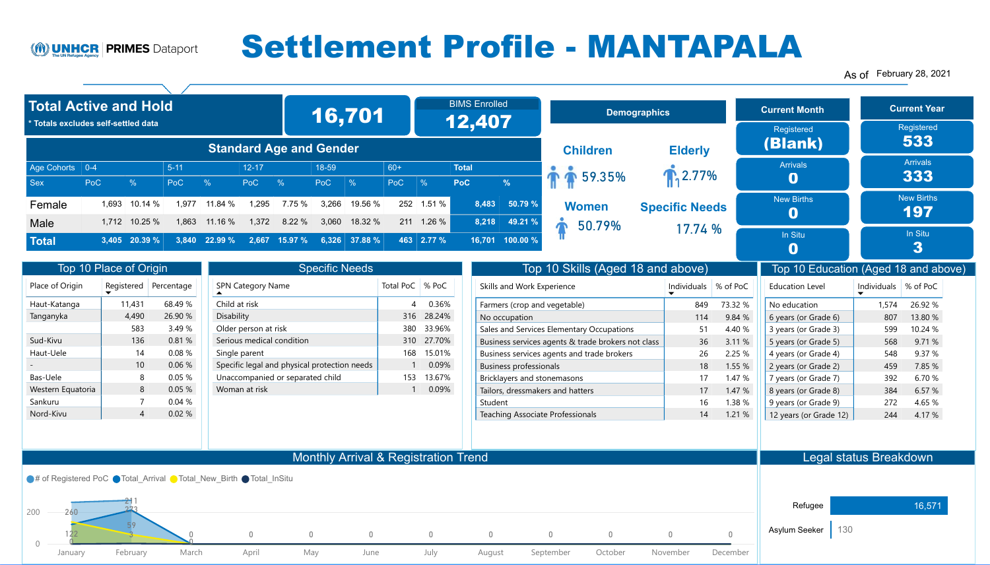## Monthly Arrival & Registration Trend



| <b>Specific Needs</b>                        |                   |            |  |  |  |  |  |  |
|----------------------------------------------|-------------------|------------|--|--|--|--|--|--|
| <b>SPN Category Name</b>                     | Total PoC   % PoC |            |  |  |  |  |  |  |
| Child at risk                                | 4                 | 0.36%      |  |  |  |  |  |  |
| Disability                                   | 316               | 28.24%     |  |  |  |  |  |  |
| Older person at risk                         | 380               | 33.96%     |  |  |  |  |  |  |
| Serious medical condition                    | 310               | 27.70%     |  |  |  |  |  |  |
| Single parent                                |                   | 168 15.01% |  |  |  |  |  |  |
| Specific legal and physical protection needs | 1                 | 0.09%      |  |  |  |  |  |  |
| Unaccompanied or separated child             | 153               | 13.67%     |  |  |  |  |  |  |
| Woman at risk                                |                   | 0.09%      |  |  |  |  |  |  |

| Place of Origin   | Registered | Percentage |
|-------------------|------------|------------|
| Haut-Katanga      | 11,431     | 68.49 %    |
| Tanganyka         | 4,490      | 26.90 %    |
|                   | 583        | 3.49 %     |
| Sud-Kivu          | 136        | 0.81%      |
| Haut-Uele         | 14         | 0.08%      |
|                   | 10         | 0.06%      |
| <b>Bas-Uele</b>   | 8          | 0.05%      |
| Western Equatoria | 8          | 0.05%      |
| Sankuru           | 7          | 0.04%      |
| Nord-Kivu         | 4          | 0.02%      |

## Total Active and Hold

| <b>Total Active and Hold</b>        |                        |                          |                        |                            |                    |                                |                       | 16,701                     |                     | <b>BIMS Enrolled</b><br><b>Demographics</b><br>12,407 |                            |                 |                        | <b>Current Month</b>                         | <b>Current Yea</b>    |  |                                 |                                                         |
|-------------------------------------|------------------------|--------------------------|------------------------|----------------------------|--------------------|--------------------------------|-----------------------|----------------------------|---------------------|-------------------------------------------------------|----------------------------|-----------------|------------------------|----------------------------------------------|-----------------------|--|---------------------------------|---------------------------------------------------------|
| * Totals excludes self-settled data |                        |                          |                        |                            |                    | <b>Standard Age and Gender</b> |                       |                            |                     |                                                       |                            |                 |                        | <b>Children</b>                              | <b>Elderly</b>        |  | Registered<br>(Blank)           | Registered<br>533                                       |
| Age Cohorts   0-4<br><b>Sex</b>     | PoC                    |                          | $5 - 11$<br><b>PoC</b> |                            | $12 - 17$<br>PoC   |                                | 18-59<br>PoC          |                            | $60+$<br><b>PoC</b> | $\frac{0}{0}$                                         | <b>Total</b><br><b>PoC</b> |                 | $\frac{9}{6}$          | T \$59.35%                                   | $\sqrt{3}$ 2.77%      |  | <b>Arrivals</b>                 | <b>Arrivals</b><br>333                                  |
| Female                              | 1.693                  | 10.14%                   | 1.977                  | 11.84%                     | ,295               | 7.75 %                         | 3,266                 | 19.56 %                    |                     | 252 1.51 %                                            |                            | 8,483           | 50.79%                 | <b>Women</b>                                 | <b>Specific Needs</b> |  | <b>New Births</b>               | <b>New Births</b><br>197                                |
| <b>Male</b><br><b>Total</b>         | 1,712                  | 10.25 %<br>3,405 20.39 % | 1,863                  | 11.16 %<br>$3,840$ 22.99 % | 1,372              | 8.22 %<br>2,667 15.97 %        | 3,060                 | 18.32 %<br>$6,326$ 37.88 % |                     | 211 1.26 %<br>463 2.77 %                              |                            | 8,218<br>16,701 | 49.21 %<br>$100.00 \%$ | 50.79%                                       | 17.74%                |  | In Situ                         | In Situ<br>3                                            |
|                                     | Top 10 Place of Origin |                          |                        |                            |                    |                                | <b>Specific Needs</b> |                            |                     |                                                       |                            |                 |                        | Top 10 Skills (Aged 18 and above)            |                       |  | Top 10 Education (Aged 18 and a |                                                         |
| $Dl$ of Origin                      |                        | Dogictored Dercentage    |                        |                            | CDNI Catogoni Namo |                                |                       |                            |                     | $Total DoC = 0, DoC$                                  |                            |                 |                        | $Cl_{\alpha}$ lle and <i>Werk</i> Eugenianee | $\mathbb{R}$          |  | Education Lough                 | $\ln 2$ $\ln 2$ $\ln 2$ $\ln 2$ $\ln 2$ $\ln 2$ $\ln 2$ |

### Legal status Breakdown

| Refugee              |          |          |         |           |        |
|----------------------|----------|----------|---------|-----------|--------|
| <b>Asylum Seeker</b> |          |          |         |           |        |
|                      | December | November | October | September | August |





130

As of February 28, 2021



# Settlement Profile - MANTAPALA

| Skills and Work Experience                         | Individuals % of PoC |         |
|----------------------------------------------------|----------------------|---------|
| Farmers (crop and vegetable)                       | 849                  | 73.32 % |
| No occupation                                      | 114                  | 9.84 %  |
| Sales and Services Elementary Occupations          | 51                   | 4.40 %  |
| Business services agents & trade brokers not class | 36                   | 3.11 %  |
| Business services agents and trade brokers         | 26                   | 2.25 %  |
| <b>Business professionals</b>                      | 18                   | 1.55 %  |
| Bricklayers and stonemasons                        | 17                   | 1.47 %  |
| Tailors, dressmakers and hatters                   | 17                   | 1.47 %  |
| Student                                            | 16                   | 1.38 %  |
| <b>Teaching Associate Professionals</b>            | 14                   | 1.21%   |



| <b>Education Level</b> | <b>Individuals</b> | % of PoC |
|------------------------|--------------------|----------|
| No education           | 1,574              | 26.92 %  |
| 6 years (or Grade 6)   | 807                | 13.80 %  |
| 3 years (or Grade 3)   | 599                | 10.24 %  |
| 5 years (or Grade 5)   | 568                | 9.71 %   |
| 4 years (or Grade 4)   | 548                | 9.37 %   |
| 2 years (or Grade 2)   | 459                | 7.85 %   |
| 7 years (or Grade 7)   | 392                | 6.70 %   |
| 8 years (or Grade 8)   | 384                | 6.57 %   |
| 9 years (or Grade 9)   | 272                | 4.65 %   |
| 12 years (or Grade 12) | 244                | 4.17 %   |